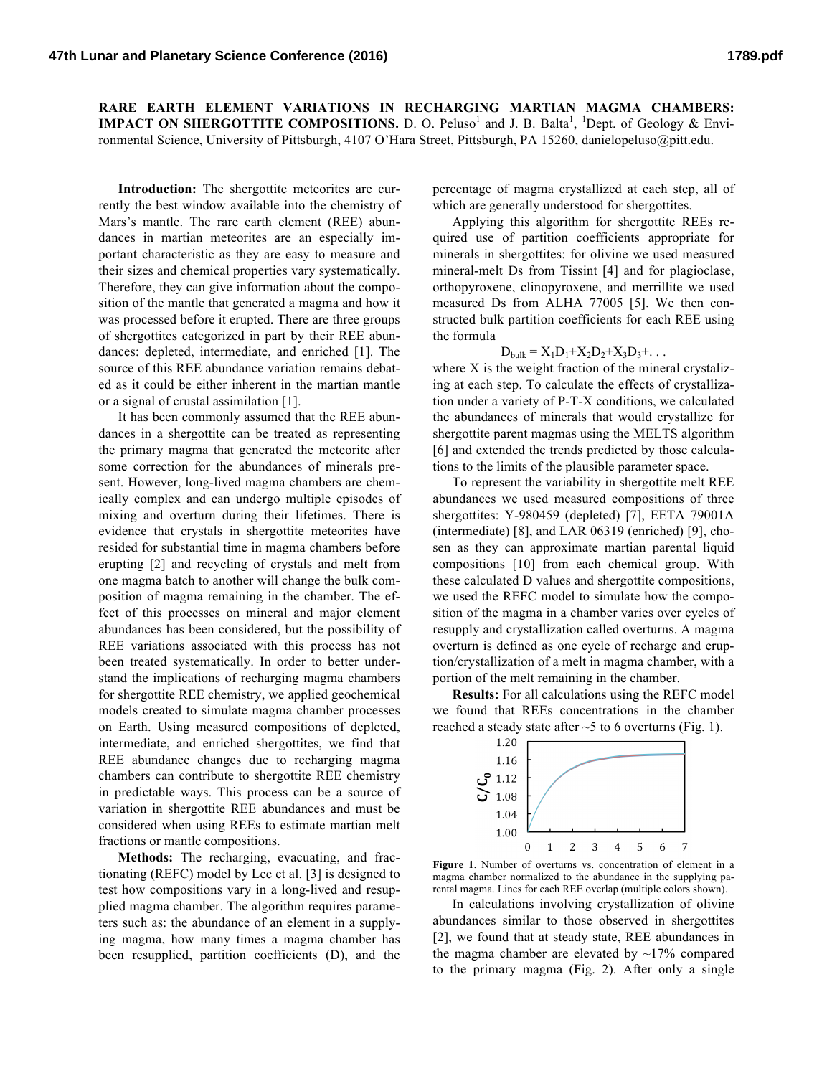**RARE EARTH ELEMENT VARIATIONS IN RECHARGING MARTIAN MAGMA CHAMBERS: IMPACT ON SHERGOTTITE COMPOSITIONS.** D. O. Peluso<sup>1</sup> and J. B. Balta<sup>1</sup>, <sup>1</sup>Dept. of Geology & Environmental Science, University of Pittsburgh, 4107 O'Hara Street, Pittsburgh, PA 15260, danielopeluso@pitt.edu.

Introduction: The shergottite meteorites are currently the best window available into the chemistry of Mars's mantle. The rare earth element (REE) abundances in martian meteorites are an especially important characteristic as they are easy to measure and their sizes and chemical properties vary systematically. Therefore, they can give information about the composition of the mantle that generated a magma and how it was processed before it erupted. There are three groups of shergottites categorized in part by their REE abundances: depleted, intermediate, and enriched [1]. The source of this REE abundance variation remains debated as it could be either inherent in the martian mantle or a signal of crustal assimilation [1].

It has been commonly assumed that the REE abundances in a shergottite can be treated as representing the primary magma that generated the meteorite after some correction for the abundances of minerals present. However, long-lived magma chambers are chemically complex and can undergo multiple episodes of mixing and overturn during their lifetimes. There is evidence that crystals in shergottite meteorites have resided for substantial time in magma chambers before erupting [2] and recycling of crystals and melt from one magma batch to another will change the bulk composition of magma remaining in the chamber. The effect of this processes on mineral and major element abundances has been considered, but the possibility of REE variations associated with this process has not been treated systematically. In order to better understand the implications of recharging magma chambers for shergottite REE chemistry, we applied geochemical models created to simulate magma chamber processes on Earth. Using measured compositions of depleted, intermediate, and enriched shergottites, we find that REE abundance changes due to recharging magma chambers can contribute to shergottite REE chemistry in predictable ways. This process can be a source of variation in shergottite REE abundances and must be considered when using REEs to estimate martian melt fractions or mantle compositions.

**Methods:** The recharging, evacuating, and fractionating (REFC) model by Lee et al. [3] is designed to test how compositions vary in a long-lived and resupplied magma chamber. The algorithm requires parameters such as: the abundance of an element in a supplying magma, how many times a magma chamber has been resupplied, partition coefficients (D), and the

percentage of magma crystallized at each step, all of which are generally understood for shergottites.

Applying this algorithm for shergottite REEs required use of partition coefficients appropriate for minerals in shergottites: for olivine we used measured mineral-melt Ds from Tissint [4] and for plagioclase, orthopyroxene, clinopyroxene, and merrillite we used measured Ds from ALHA 77005 [5]. We then constructed bulk partition coefficients for each REE using the formula

$$
D_{bulk} = X_1 D_1 + X_2 D_2 + X_3 D_3 + \dots
$$

where X is the weight fraction of the mineral crystalizing at each step. To calculate the effects of crystallization under a variety of P-T-X conditions, we calculated the abundances of minerals that would crystallize for shergottite parent magmas using the MELTS algorithm [6] and extended the trends predicted by those calculations to the limits of the plausible parameter space.

To represent the variability in shergottite melt REE abundances we used measured compositions of three shergottites: Y-980459 (depleted) [7], EETA 79001A (intermediate) [8], and LAR 06319 (enriched) [9], chosen as they can approximate martian parental liquid compositions [10] from each chemical group. With these calculated D values and shergottite compositions, we used the REFC model to simulate how the composition of the magma in a chamber varies over cycles of resupply and crystallization called overturns. A magma overturn is defined as one cycle of recharge and eruption/crystallization of a melt in magma chamber, with a portion of the melt remaining in the chamber.

**Results:** For all calculations using the REFC model we found that REEs concentrations in the chamber reached a steady state after  $\sim$  5 to 6 overturns (Fig. 1).



**Figure 1**. Number of overturns vs. concentration of element in a magma chamber normalized to the abundance in the supplying parental magma. Lines for each REE overlap (multiple colors shown).

In calculations involving crystallization of olivine abundances similar to those observed in shergottites [2], we found that at steady state, REE abundances in the magma chamber are elevated by  $\sim$ 17% compared to the primary magma (Fig. 2). After only a single